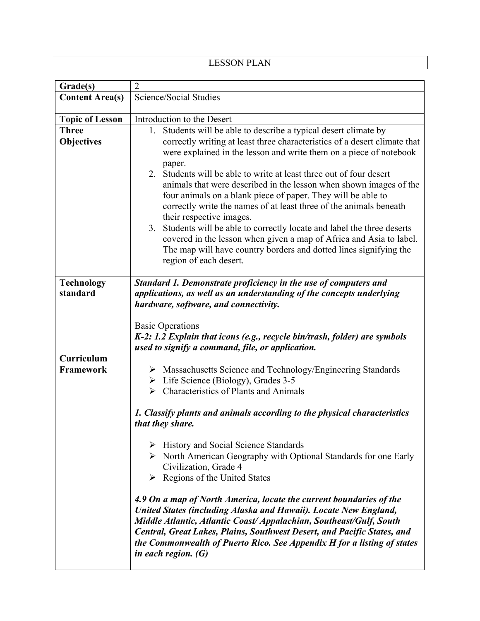LESSON PLAN

| Grade(s)                      | $\overline{2}$                                                                                                                                                                                                                                                                                                                                                                                                                                                                                                                                                                                                                                                                                                                |
|-------------------------------|-------------------------------------------------------------------------------------------------------------------------------------------------------------------------------------------------------------------------------------------------------------------------------------------------------------------------------------------------------------------------------------------------------------------------------------------------------------------------------------------------------------------------------------------------------------------------------------------------------------------------------------------------------------------------------------------------------------------------------|
| <b>Content Area(s)</b>        | Science/Social Studies                                                                                                                                                                                                                                                                                                                                                                                                                                                                                                                                                                                                                                                                                                        |
| <b>Topic of Lesson</b>        | Introduction to the Desert                                                                                                                                                                                                                                                                                                                                                                                                                                                                                                                                                                                                                                                                                                    |
| <b>Three</b>                  | 1. Students will be able to describe a typical desert climate by                                                                                                                                                                                                                                                                                                                                                                                                                                                                                                                                                                                                                                                              |
| <b>Objectives</b>             | correctly writing at least three characteristics of a desert climate that<br>were explained in the lesson and write them on a piece of notebook<br>paper.<br>2. Students will be able to write at least three out of four desert<br>animals that were described in the lesson when shown images of the<br>four animals on a blank piece of paper. They will be able to<br>correctly write the names of at least three of the animals beneath<br>their respective images.<br>Students will be able to correctly locate and label the three deserts<br>3.<br>covered in the lesson when given a map of Africa and Asia to label.<br>The map will have country borders and dotted lines signifying the<br>region of each desert. |
| <b>Technology</b><br>standard | Standard 1. Demonstrate proficiency in the use of computers and<br>applications, as well as an understanding of the concepts underlying<br>hardware, software, and connectivity.<br><b>Basic Operations</b><br>K-2: 1.2 Explain that icons (e.g., recycle bin/trash, folder) are symbols<br>used to signify a command, file, or application.                                                                                                                                                                                                                                                                                                                                                                                  |
| Curriculum<br>Framework       | $\triangleright$ Massachusetts Science and Technology/Engineering Standards<br>$\triangleright$ Life Science (Biology), Grades 3-5<br>$\triangleright$ Characteristics of Plants and Animals                                                                                                                                                                                                                                                                                                                                                                                                                                                                                                                                  |
|                               | 1. Classify plants and animals according to the physical characteristics<br>that they share.                                                                                                                                                                                                                                                                                                                                                                                                                                                                                                                                                                                                                                  |
|                               | $\triangleright$ History and Social Science Standards<br>> North American Geography with Optional Standards for one Early<br>Civilization, Grade 4<br>$\triangleright$ Regions of the United States                                                                                                                                                                                                                                                                                                                                                                                                                                                                                                                           |
|                               | 4.9 On a map of North America, locate the current boundaries of the<br>United States (including Alaska and Hawaii). Locate New England,<br>Middle Atlantic, Atlantic Coast/Appalachian, Southeast/Gulf, South<br>Central, Great Lakes, Plains, Southwest Desert, and Pacific States, and<br>the Commonwealth of Puerto Rico. See Appendix H for a listing of states<br>in each region. $(G)$                                                                                                                                                                                                                                                                                                                                  |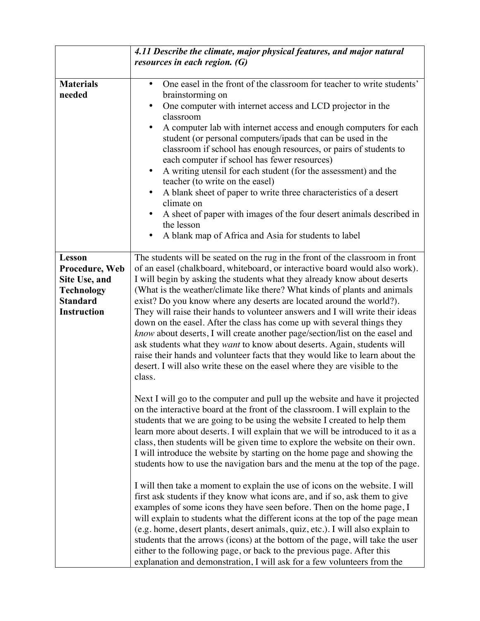|                                                                                                         | 4.11 Describe the climate, major physical features, and major natural<br>resources in each region. (G)                                                                                                                                                                                                                                                                                                                                                                                                                                                                                                                                                                                                                                                                                                                                                                                        |
|---------------------------------------------------------------------------------------------------------|-----------------------------------------------------------------------------------------------------------------------------------------------------------------------------------------------------------------------------------------------------------------------------------------------------------------------------------------------------------------------------------------------------------------------------------------------------------------------------------------------------------------------------------------------------------------------------------------------------------------------------------------------------------------------------------------------------------------------------------------------------------------------------------------------------------------------------------------------------------------------------------------------|
| <b>Materials</b><br>needed                                                                              | One easel in the front of the classroom for teacher to write students'<br>brainstorming on<br>One computer with internet access and LCD projector in the<br>classroom<br>A computer lab with internet access and enough computers for each<br>student (or personal computers/ipads that can be used in the<br>classroom if school has enough resources, or pairs of students to<br>each computer if school has fewer resources)<br>A writing utensil for each student (for the assessment) and the<br>$\bullet$<br>teacher (to write on the easel)<br>A blank sheet of paper to write three characteristics of a desert<br>climate on<br>A sheet of paper with images of the four desert animals described in<br>the lesson<br>A blank map of Africa and Asia for students to label                                                                                                           |
| Lesson<br>Procedure, Web<br>Site Use, and<br><b>Technology</b><br><b>Standard</b><br><b>Instruction</b> | The students will be seated on the rug in the front of the classroom in front<br>of an easel (chalkboard, whiteboard, or interactive board would also work).<br>I will begin by asking the students what they already know about deserts<br>(What is the weather/climate like there? What kinds of plants and animals<br>exist? Do you know where any deserts are located around the world?).<br>They will raise their hands to volunteer answers and I will write their ideas<br>down on the easel. After the class has come up with several things they<br>know about deserts, I will create another page/section/list on the easel and<br>ask students what they want to know about deserts. Again, students will<br>raise their hands and volunteer facts that they would like to learn about the<br>desert. I will also write these on the easel where they are visible to the<br>class. |
|                                                                                                         | Next I will go to the computer and pull up the website and have it projected<br>on the interactive board at the front of the classroom. I will explain to the<br>students that we are going to be using the website I created to help them<br>learn more about deserts. I will explain that we will be introduced to it as a<br>class, then students will be given time to explore the website on their own.<br>I will introduce the website by starting on the home page and showing the<br>students how to use the navigation bars and the menu at the top of the page.                                                                                                                                                                                                                                                                                                                     |
|                                                                                                         | I will then take a moment to explain the use of icons on the website. I will<br>first ask students if they know what icons are, and if so, ask them to give<br>examples of some icons they have seen before. Then on the home page, I<br>will explain to students what the different icons at the top of the page mean<br>(e.g. home, desert plants, desert animals, quiz, etc.). I will also explain to<br>students that the arrows (icons) at the bottom of the page, will take the user<br>either to the following page, or back to the previous page. After this<br>explanation and demonstration, I will ask for a few volunteers from the                                                                                                                                                                                                                                               |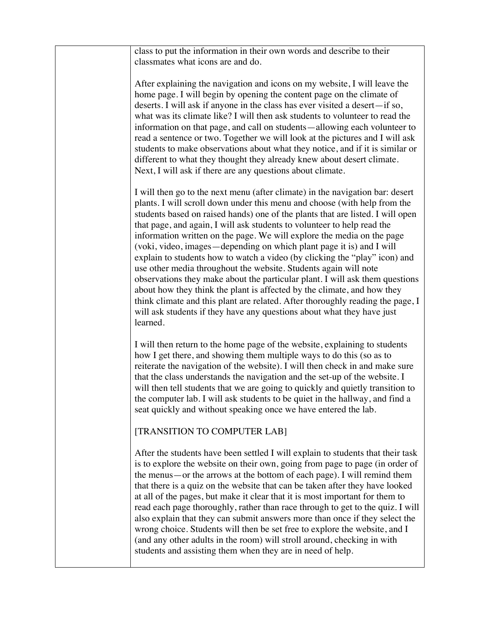| class to put the information in their own words and describe to their<br>classmates what icons are and do.                                                                                                                                                                                                                                                                                                                                                                                                                                                                                                                                                                                                                                                                                                                                                                                                                                                     |
|----------------------------------------------------------------------------------------------------------------------------------------------------------------------------------------------------------------------------------------------------------------------------------------------------------------------------------------------------------------------------------------------------------------------------------------------------------------------------------------------------------------------------------------------------------------------------------------------------------------------------------------------------------------------------------------------------------------------------------------------------------------------------------------------------------------------------------------------------------------------------------------------------------------------------------------------------------------|
| After explaining the navigation and icons on my website, I will leave the<br>home page. I will begin by opening the content page on the climate of<br>deserts. I will ask if anyone in the class has ever visited a desert-if so,<br>what was its climate like? I will then ask students to volunteer to read the<br>information on that page, and call on students—allowing each volunteer to<br>read a sentence or two. Together we will look at the pictures and I will ask<br>students to make observations about what they notice, and if it is similar or<br>different to what they thought they already knew about desert climate.<br>Next, I will ask if there are any questions about climate.                                                                                                                                                                                                                                                        |
| I will then go to the next menu (after climate) in the navigation bar: desert<br>plants. I will scroll down under this menu and choose (with help from the<br>students based on raised hands) one of the plants that are listed. I will open<br>that page, and again, I will ask students to volunteer to help read the<br>information written on the page. We will explore the media on the page<br>(voki, video, images—depending on which plant page it is) and I will<br>explain to students how to watch a video (by clicking the "play" icon) and<br>use other media throughout the website. Students again will note<br>observations they make about the particular plant. I will ask them questions<br>about how they think the plant is affected by the climate, and how they<br>think climate and this plant are related. After thoroughly reading the page, I<br>will ask students if they have any questions about what they have just<br>learned. |
| I will then return to the home page of the website, explaining to students<br>how I get there, and showing them multiple ways to do this (so as to<br>reiterate the navigation of the website). I will then check in and make sure<br>that the class understands the navigation and the set-up of the website. I<br>will then tell students that we are going to quickly and quietly transition to<br>the computer lab. I will ask students to be quiet in the hallway, and find a<br>seat quickly and without speaking once we have entered the lab.                                                                                                                                                                                                                                                                                                                                                                                                          |
| [TRANSITION TO COMPUTER LAB]<br>After the students have been settled I will explain to students that their task<br>is to explore the website on their own, going from page to page (in order of<br>the menus—or the arrows at the bottom of each page). I will remind them<br>that there is a quiz on the website that can be taken after they have looked<br>at all of the pages, but make it clear that it is most important for them to<br>read each page thoroughly, rather than race through to get to the quiz. I will<br>also explain that they can submit answers more than once if they select the<br>wrong choice. Students will then be set free to explore the website, and I<br>(and any other adults in the room) will stroll around, checking in with<br>students and assisting them when they are in need of help.                                                                                                                             |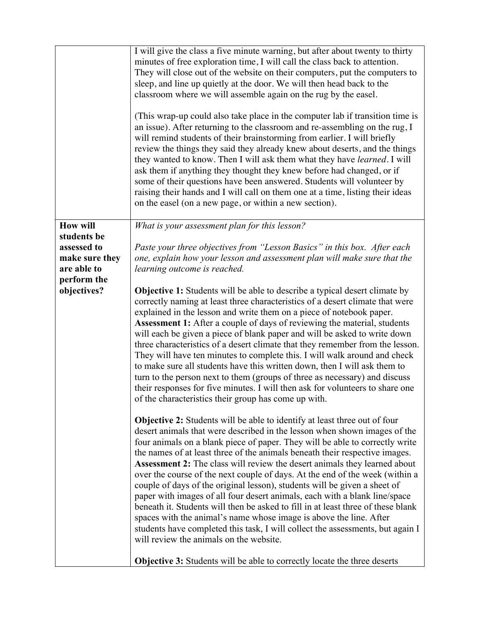|                               | I will give the class a five minute warning, but after about twenty to thirty<br>minutes of free exploration time, I will call the class back to attention.<br>They will close out of the website on their computers, put the computers to<br>sleep, and line up quietly at the door. We will then head back to the<br>classroom where we will assemble again on the rug by the easel.<br>(This wrap-up could also take place in the computer lab if transition time is<br>an issue). After returning to the classroom and re-assembling on the rug, I<br>will remind students of their brainstorming from earlier. I will briefly<br>review the things they said they already knew about deserts, and the things<br>they wanted to know. Then I will ask them what they have learned. I will<br>ask them if anything they thought they knew before had changed, or if<br>some of their questions have been answered. Students will volunteer by<br>raising their hands and I will call on them one at a time, listing their ideas<br>on the easel (on a new page, or within a new section). |
|-------------------------------|----------------------------------------------------------------------------------------------------------------------------------------------------------------------------------------------------------------------------------------------------------------------------------------------------------------------------------------------------------------------------------------------------------------------------------------------------------------------------------------------------------------------------------------------------------------------------------------------------------------------------------------------------------------------------------------------------------------------------------------------------------------------------------------------------------------------------------------------------------------------------------------------------------------------------------------------------------------------------------------------------------------------------------------------------------------------------------------------|
| <b>How will</b>               | What is your assessment plan for this lesson?                                                                                                                                                                                                                                                                                                                                                                                                                                                                                                                                                                                                                                                                                                                                                                                                                                                                                                                                                                                                                                                |
| students be                   |                                                                                                                                                                                                                                                                                                                                                                                                                                                                                                                                                                                                                                                                                                                                                                                                                                                                                                                                                                                                                                                                                              |
| assessed to                   | Paste your three objectives from "Lesson Basics" in this box. After each                                                                                                                                                                                                                                                                                                                                                                                                                                                                                                                                                                                                                                                                                                                                                                                                                                                                                                                                                                                                                     |
| make sure they<br>are able to | one, explain how your lesson and assessment plan will make sure that the<br>learning outcome is reached.                                                                                                                                                                                                                                                                                                                                                                                                                                                                                                                                                                                                                                                                                                                                                                                                                                                                                                                                                                                     |
| perform the                   |                                                                                                                                                                                                                                                                                                                                                                                                                                                                                                                                                                                                                                                                                                                                                                                                                                                                                                                                                                                                                                                                                              |
| objectives?                   | <b>Objective 1:</b> Students will be able to describe a typical desert climate by                                                                                                                                                                                                                                                                                                                                                                                                                                                                                                                                                                                                                                                                                                                                                                                                                                                                                                                                                                                                            |
|                               | correctly naming at least three characteristics of a desert climate that were<br>explained in the lesson and write them on a piece of notebook paper.<br><b>Assessment 1:</b> After a couple of days of reviewing the material, students<br>will each be given a piece of blank paper and will be asked to write down<br>three characteristics of a desert climate that they remember from the lesson.<br>They will have ten minutes to complete this. I will walk around and check<br>to make sure all students have this written down, then I will ask them to<br>turn to the person next to them (groups of three as necessary) and discuss<br>their responses for five minutes. I will then ask for volunteers to share one<br>of the characteristics their group has come up with.                                                                                                                                                                                                                                                                                                      |
|                               | Objective 2: Students will be able to identify at least three out of four<br>desert animals that were described in the lesson when shown images of the<br>four animals on a blank piece of paper. They will be able to correctly write<br>the names of at least three of the animals beneath their respective images.<br><b>Assessment 2:</b> The class will review the desert animals they learned about<br>over the course of the next couple of days. At the end of the week (within a<br>couple of days of the original lesson), students will be given a sheet of<br>paper with images of all four desert animals, each with a blank line/space<br>beneath it. Students will then be asked to fill in at least three of these blank<br>spaces with the animal's name whose image is above the line. After<br>students have completed this task, I will collect the assessments, but again I<br>will review the animals on the website.                                                                                                                                                  |
|                               | <b>Objective 3:</b> Students will be able to correctly locate the three deserts                                                                                                                                                                                                                                                                                                                                                                                                                                                                                                                                                                                                                                                                                                                                                                                                                                                                                                                                                                                                              |